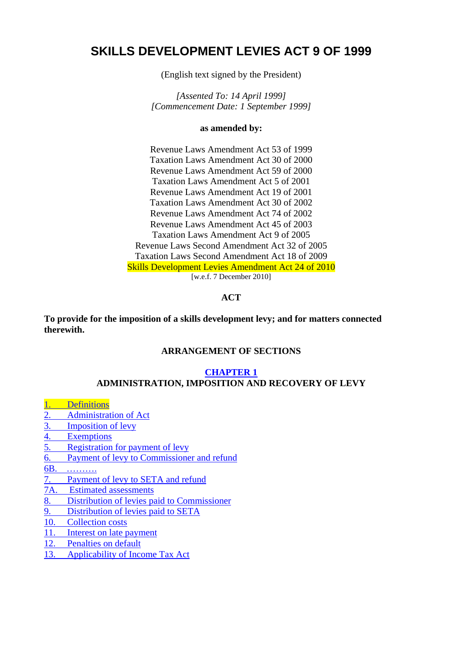# **SKILLS DEVELOPMENT LEVIES ACT 9 OF 1999**

(English text signed by the President)

*[Assented To: 14 April 1999] [Commencement Date: 1 September 1999]* 

#### **as amended by:**

Revenue Laws Amendment Act 53 of 1999 Taxation Laws Amendment Act 30 of 2000 Revenue Laws Amendment Act 59 of 2000 Taxation Laws Amendment Act 5 of 2001 Revenue Laws Amendment Act 19 of 2001 Taxation Laws Amendment Act 30 of 2002 Revenue Laws Amendment Act 74 of 2002 Revenue Laws Amendment Act 45 of 2003 Taxation Laws Amendment Act 9 of 2005 Revenue Laws Second Amendment Act 32 of 2005 Taxation Laws Second Amendment Act 18 of 2009 Skills Development Levies Amendment Act 24 of 2010 [w.e.f. 7 December 2010]

# **ACT**

**To provide for the imposition of a skills development levy; and for matters connected therewith.** 

#### **ARRANGEMENT OF SECTIONS**

#### **[CHAPTER 1](#page-1-0) ADMINISTRATION, IMPOSITION AND RECOVERY OF LEVY**

- **Definitions**
- [2. Administration of Act](#page-2-0)
- [3. Imposition of levy](#page-2-0)
- [4. Exemptions](#page-4-0)
- [5. Registration for payment of levy](#page-4-0)
- [6. Payment of levy to Commissioner and refund](#page-5-0)
- [6B. ……….](#page-6-0)
- [7. Payment of levy to SETA and refund](#page-6-0)
- [7A. Estimated assessments](#page-7-0)
- [8. Distribution of levies paid to Commissioner](#page-8-0)
- [9. Distribution of levies paid to SETA](#page-8-0)
- [10. Collection costs](#page-9-0)
- [11. Interest on late payment](#page-9-0)
- [12. Penalties on default](#page-9-0)
- [13. Applicability of Income Tax Act](#page-10-0)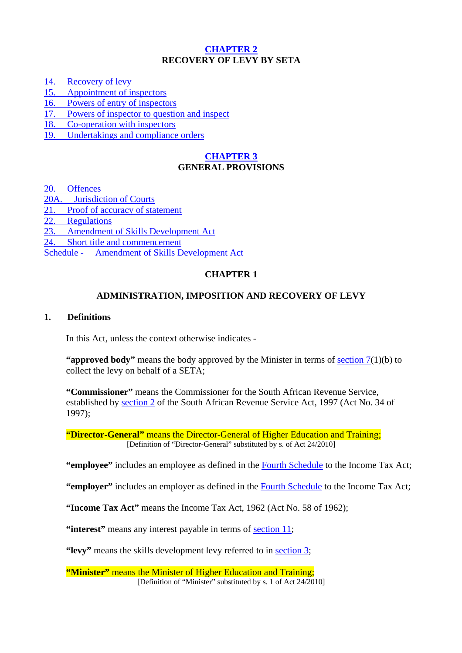# **[CHAPTER 2](#page-11-0) RECOVERY OF LEVY BY SETA**

<span id="page-1-0"></span>[14. Recovery of levy](#page-11-0)

[15. Appointment of inspectors](#page-11-0) 

[16. Powers of entry of inspectors](#page-11-0)

[17. Powers of inspector to question and inspect](#page-12-0)

[18. Co-operation with inspectors](#page-13-0)

[19. Undertakings and compliance orders](#page-13-0) 

# **[CHAPTER 3](#page-13-0) GENERAL PROVISIONS**

[20. Offences](#page-13-0) 

[20A. Jurisdiction of Courts](#page-14-0)

[21. Proof of accuracy of statement](#page-14-0) 

[22. Regulations](#page-14-0)

[23. Amendment of Skills Development Act](#page-14-0)

[24. Short title and commencement](#page-14-0) 

[Schedule - Amendment of Skills Development Act](#page-14-0)

# **CHAPTER 1**

# **ADMINISTRATION, IMPOSITION AND RECOVERY OF LEVY**

# **1. Definitions**

In this Act, unless the context otherwise indicates -

"**approved body**" means the body approved by the Minister in terms of section  $7(1)(b)$  to collect the levy on behalf of a SETA;

**"Commissioner"** means the Commissioner for the South African Revenue Service, established by section 2 of the South African Revenue Service Act, 1997 (Act No. 34 of 1997);

**"Director-General"** means the Director-General of Higher Education and Training; [Definition of "Director-General" substituted by s. of Act 24/2010]

**"employee"** includes an employee as defined in the Fourth Schedule to the Income Tax Act;

**"employer"** includes an employer as defined in the Fourth Schedule to the Income Tax Act;

**"Income Tax Act"** means the Income Tax Act, 1962 (Act No. 58 of 1962);

**"interest"** means any interest payable in terms of [section 11](#page-9-0);

**"levy"** means the skills development levy referred to in [section 3;](#page-2-0)

**"Minister"** means the Minister of Higher Education and Training; [Definition of "Minister" substituted by s. 1 of Act 24/2010]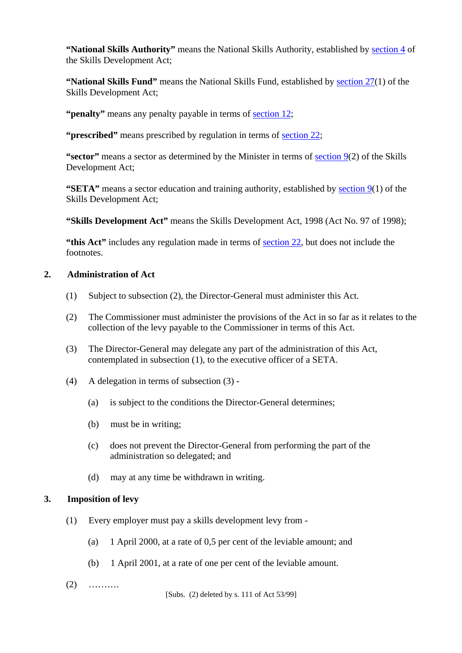<span id="page-2-0"></span>**"National Skills Authority"** means the National Skills Authority, established by section 4 of the Skills Development Act;

**"National Skills Fund"** means the National Skills Fund, established by section 27(1) of the Skills Development Act;

**"penalty"** means any penalty payable in terms of [section 12;](#page-9-0)

**"prescribed"** means prescribed by regulation in terms of [section 22](#page-14-0);

**"sector"** means a sector as determined by the Minister in terms of section 9(2) of the Skills Development Act;

**"SETA"** means a sector education and training authority, established by section 9(1) of the Skills Development Act;

**"Skills Development Act"** means the Skills Development Act, 1998 (Act No. 97 of 1998);

**"this Act"** includes any regulation made in terms of [section 22,](#page-14-0) but does not include the footnotes.

# **2. Administration of Act**

- (1) Subject to subsection (2), the Director-General must administer this Act.
- (2) The Commissioner must administer the provisions of the Act in so far as it relates to the collection of the levy payable to the Commissioner in terms of this Act.
- (3) The Director-General may delegate any part of the administration of this Act, contemplated in subsection (1), to the executive officer of a SETA.
- (4) A delegation in terms of subsection (3)
	- (a) is subject to the conditions the Director-General determines;
	- (b) must be in writing;
	- (c) does not prevent the Director-General from performing the part of the administration so delegated; and
	- (d) may at any time be withdrawn in writing.

# **3. Imposition of levy**

- (1) Every employer must pay a skills development levy from
	- (a) 1 April 2000, at a rate of 0,5 per cent of the leviable amount; and
	- (b) 1 April 2001, at a rate of one per cent of the leviable amount.
- (2) ……….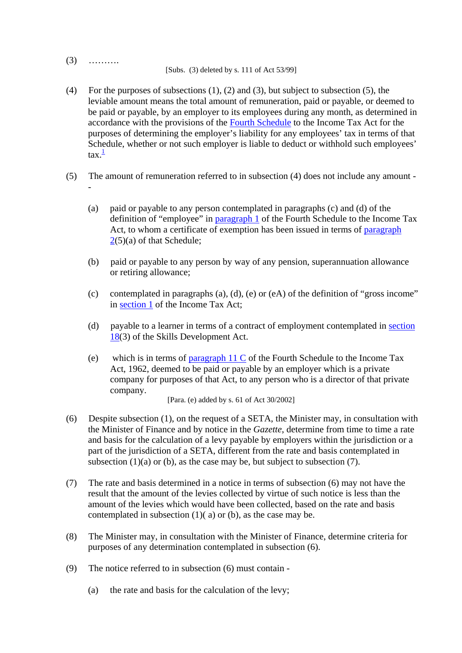(3) ……….

[Subs. (3) deleted by s. 111 of Act 53/99]

- (4) For the purposes of subsections (1), (2) and (3), but subject to subsection (5), the leviable amount means the total amount of remuneration, paid or payable, or deemed to be paid or payable, by an employer to its employees during any month, as determined in accordance with the provisions of the Fourth Schedule to the Income Tax Act for the purposes of determining the employer's liability for any employees' tax in terms of that Schedule, whether or not such employer is liable to deduct or withhold such employees'  $\tan \frac{1}{2}$
- (5) The amount of remuneration referred to in subsection (4) does not include any amount -
	- (a) paid or payable to any person contemplated in paragraphs (c) and (d) of the definition of "employee" in paragraph 1 of the Fourth Schedule to the Income Tax Act, to whom a certificate of exemption has been issued in terms of paragraph 2(5)(a) of that Schedule;
	- (b) paid or payable to any person by way of any pension, superannuation allowance or retiring allowance;
	- (c) contemplated in paragraphs  $(a)$ ,  $(d)$ ,  $(e)$  or  $(eA)$  of the definition of "gross income" in section 1 of the Income Tax Act;
	- (d) payable to a learner in terms of a contract of employment contemplated in section 18(3) of the Skills Development Act.
	- (e) which is in terms of paragraph 11 C of the Fourth Schedule to the Income Tax Act, 1962, deemed to be paid or payable by an employer which is a private company for purposes of that Act, to any person who is a director of that private company.

[Para. (e) added by s. 61 of Act 30/2002]

- (6) Despite subsection (1), on the request of a SETA, the Minister may, in consultation with the Minister of Finance and by notice in the *Gazette*, determine from time to time a rate and basis for the calculation of a levy payable by employers within the jurisdiction or a part of the jurisdiction of a SETA, different from the rate and basis contemplated in subsection  $(1)(a)$  or  $(b)$ , as the case may be, but subject to subsection  $(7)$ .
- (7) The rate and basis determined in a notice in terms of subsection (6) may not have the result that the amount of the levies collected by virtue of such notice is less than the amount of the levies which would have been collected, based on the rate and basis contemplated in subsection (1)( a) or (b), as the case may be.
- (8) The Minister may, in consultation with the Minister of Finance, determine criteria for purposes of any determination contemplated in subsection (6).
- (9) The notice referred to in subsection (6) must contain
	- (a) the rate and basis for the calculation of the levy;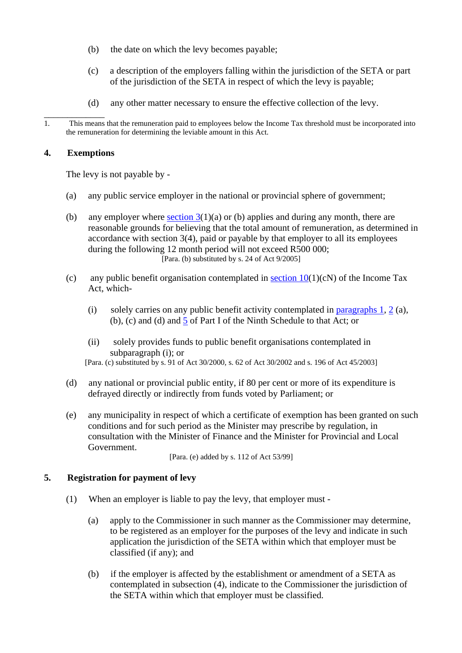- <span id="page-4-0"></span>(b) the date on which the levy becomes payable;
- (c) a description of the employers falling within the jurisdiction of the SETA or part of the jurisdiction of the SETA in respect of which the levy is payable;
- (d) any other matter necessary to ensure the effective collection of the levy.

# **4. Exemptions**

The levy is not payable by -

- (a) any public service employer in the national or provincial sphere of government;
- (b) any employer where section  $3(1)(a)$  or (b) applies and during any month, there are reasonable grounds for believing that the total amount of remuneration, as determined in accordance with section 3(4), paid or payable by that employer to all its employees during the following 12 month period will not exceed R500 000; [Para. (b) substituted by s. 24 of Act 9/2005]
- (c) any public benefit organisation contemplated in section  $10(1)(cN)$  of the Income Tax Act, which-
	- (i) solely carries on any public benefit activity contemplated in paragraphs 1, 2 (a), (b), (c) and (d) and 5 of Part I of the Ninth Schedule to that Act; or
	- (ii) solely provides funds to public benefit organisations contemplated in subparagraph (i); or

[Para. (c) substituted by s. 91 of Act 30/2000, s. 62 of Act 30/2002 and s. 196 of Act 45/2003]

- (d) any national or provincial public entity, if 80 per cent or more of its expenditure is defrayed directly or indirectly from funds voted by Parliament; or
- (e) any municipality in respect of which a certificate of exemption has been granted on such conditions and for such period as the Minister may prescribe by regulation, in consultation with the Minister of Finance and the Minister for Provincial and Local Government.

[Para. (e) added by s. 112 of Act 53/99]

### **5. Registration for payment of levy**

- (1) When an employer is liable to pay the levy, that employer must
	- (a) apply to the Commissioner in such manner as the Commissioner may determine, to be registered as an employer for the purposes of the levy and indicate in such application the jurisdiction of the SETA within which that employer must be classified (if any); and
	- (b) if the employer is affected by the establishment or amendment of a SETA as contemplated in subsection (4), indicate to the Commissioner the jurisdiction of the SETA within which that employer must be classified.

 $\overline{\phantom{a}}$  , where  $\overline{\phantom{a}}$ 1. This means that the remuneration paid to employees below the Income Tax threshold must be incorporated into the remuneration for determining the leviable amount in this Act.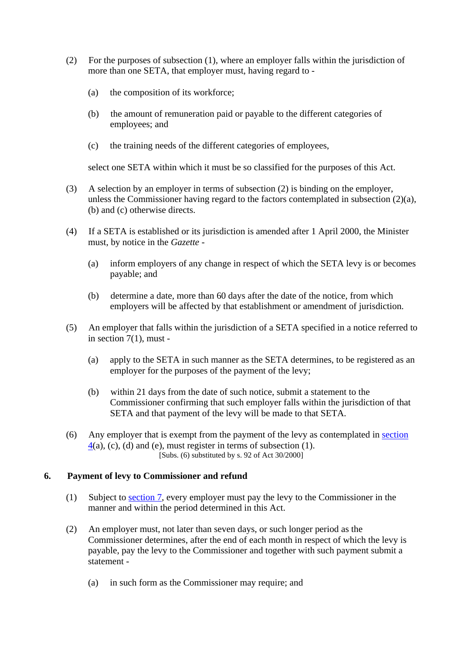- <span id="page-5-0"></span>(2) For the purposes of subsection (1), where an employer falls within the jurisdiction of more than one SETA, that employer must, having regard to -
	- (a) the composition of its workforce;
	- (b) the amount of remuneration paid or payable to the different categories of employees; and
	- (c) the training needs of the different categories of employees,

select one SETA within which it must be so classified for the purposes of this Act.

- (3) A selection by an employer in terms of subsection (2) is binding on the employer, unless the Commissioner having regard to the factors contemplated in subsection (2)(a), (b) and (c) otherwise directs.
- (4) If a SETA is established or its jurisdiction is amended after 1 April 2000, the Minister must, by notice in the *Gazette* -
	- (a) inform employers of any change in respect of which the SETA levy is or becomes payable; and
	- (b) determine a date, more than 60 days after the date of the notice, from which employers will be affected by that establishment or amendment of jurisdiction.
- (5) An employer that falls within the jurisdiction of a SETA specified in a notice referred to in section 7(1), must -
	- (a) apply to the SETA in such manner as the SETA determines, to be registered as an employer for the purposes of the payment of the levy;
	- (b) within 21 days from the date of such notice, submit a statement to the Commissioner confirming that such employer falls within the jurisdiction of that SETA and that payment of the levy will be made to that SETA.
- (6) Any employer that is exempt from the payment of the levy as contemplated in [section](#page-4-0)   $4(a)$  $4(a)$ , (c), (d) and (e), must register in terms of subsection (1). [Subs.  $(6)$  substituted by s. 92 of Act 30/2000]

# **6. Payment of levy to Commissioner and refund**

- (1) Subject to [section 7](#page-6-0), every employer must pay the levy to the Commissioner in the manner and within the period determined in this Act.
- (2) An employer must, not later than seven days, or such longer period as the Commissioner determines, after the end of each month in respect of which the levy is payable, pay the levy to the Commissioner and together with such payment submit a statement -
	- (a) in such form as the Commissioner may require; and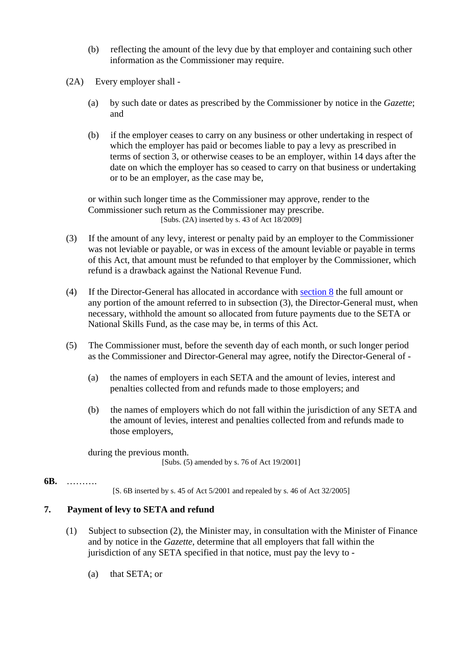- <span id="page-6-0"></span>(b) reflecting the amount of the levy due by that employer and containing such other information as the Commissioner may require.
- (2A) Every employer shall
	- (a) by such date or dates as prescribed by the Commissioner by notice in the *Gazette*; and
	- (b) if the employer ceases to carry on any business or other undertaking in respect of which the employer has paid or becomes liable to pay a levy as prescribed in terms of section 3, or otherwise ceases to be an employer, within 14 days after the date on which the employer has so ceased to carry on that business or undertaking or to be an employer, as the case may be,

or within such longer time as the Commissioner may approve, render to the Commissioner such return as the Commissioner may prescribe. [Subs. (2A) inserted by s. 43 of Act 18/2009]

- (3) If the amount of any levy, interest or penalty paid by an employer to the Commissioner was not leviable or payable, or was in excess of the amount leviable or payable in terms of this Act, that amount must be refunded to that employer by the Commissioner, which refund is a drawback against the National Revenue Fund.
- (4) If the Director-General has allocated in accordance with [section 8](#page-8-0) the full amount or any portion of the amount referred to in subsection (3), the Director-General must, when necessary, withhold the amount so allocated from future payments due to the SETA or National Skills Fund, as the case may be, in terms of this Act.
- (5) The Commissioner must, before the seventh day of each month, or such longer period as the Commissioner and Director-General may agree, notify the Director-General of -
	- (a) the names of employers in each SETA and the amount of levies, interest and penalties collected from and refunds made to those employers; and
	- (b) the names of employers which do not fall within the jurisdiction of any SETA and the amount of levies, interest and penalties collected from and refunds made to those employers,

during the previous month. [Subs. (5) amended by s. 76 of Act 19/2001]

### **6B.** ……….

[S. 6B inserted by s. 45 of Act 5/2001 and repealed by s. 46 of Act 32/2005]

### **7. Payment of levy to SETA and refund**

- (1) Subject to subsection (2), the Minister may, in consultation with the Minister of Finance and by notice in the *Gazette*, determine that all employers that fall within the jurisdiction of any SETA specified in that notice, must pay the levy to -
	- (a) that SETA; or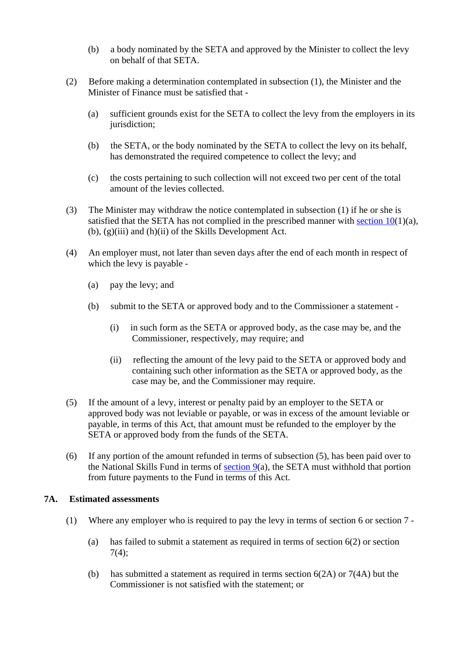- <span id="page-7-0"></span>(b) a body nominated by the SETA and approved by the Minister to collect the levy on behalf of that SETA.
- (2) Before making a determination contemplated in subsection (1), the Minister and the Minister of Finance must be satisfied that -
	- (a) sufficient grounds exist for the SETA to collect the levy from the employers in its jurisdiction;
	- (b) the SETA, or the body nominated by the SETA to collect the levy on its behalf, has demonstrated the required competence to collect the levy; and
	- (c) the costs pertaining to such collection will not exceed two per cent of the total amount of the levies collected.
- (3) The Minister may withdraw the notice contemplated in subsection (1) if he or she is satisfied that the SETA has not complied in the prescribed manner with section  $10(1)(a)$ , (b), (g)(iii) and (h)(ii) of the Skills Development Act.
- (4) An employer must, not later than seven days after the end of each month in respect of which the levy is payable -
	- (a) pay the levy; and
	- (b) submit to the SETA or approved body and to the Commissioner a statement
		- (i) in such form as the SETA or approved body, as the case may be, and the Commissioner, respectively, may require; and
		- (ii) reflecting the amount of the levy paid to the SETA or approved body and containing such other information as the SETA or approved body, as the case may be, and the Commissioner may require.
- (5) If the amount of a levy, interest or penalty paid by an employer to the SETA or approved body was not leviable or payable, or was in excess of the amount leviable or payable, in terms of this Act, that amount must be refunded to the employer by the SETA or approved body from the funds of the SETA.
- (6) If any portion of the amount refunded in terms of subsection (5), has been paid over to the National Skills Fund in terms of [section 9](#page-8-0)(a), the SETA must withhold that portion from future payments to the Fund in terms of this Act.

### **7A. Estimated assessments**

- (1) Where any employer who is required to pay the levy in terms of section 6 or section 7
	- (a) has failed to submit a statement as required in terms of section 6(2) or section 7(4);
	- (b) has submitted a statement as required in terms section  $6(2A)$  or  $7(4A)$  but the Commissioner is not satisfied with the statement; or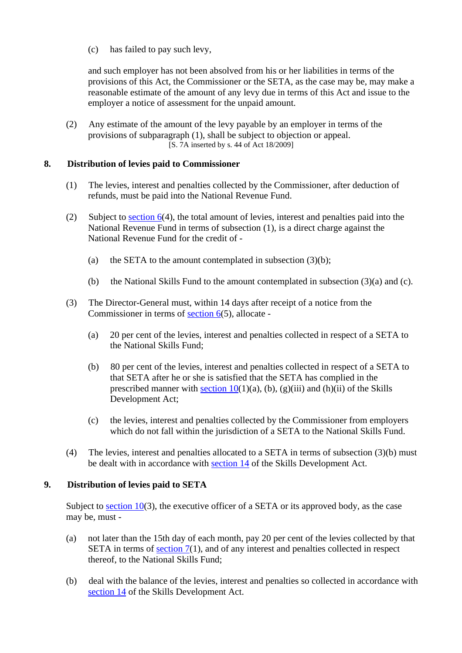<span id="page-8-0"></span>(c) has failed to pay such levy,

and such employer has not been absolved from his or her liabilities in terms of the provisions of this Act, the Commissioner or the SETA, as the case may be, may make a reasonable estimate of the amount of any levy due in terms of this Act and issue to the employer a notice of assessment for the unpaid amount.

(2) Any estimate of the amount of the levy payable by an employer in terms of the provisions of subparagraph (1), shall be subject to objection or appeal. [S. 7A inserted by s. 44 of Act 18/2009]

# **8. Distribution of levies paid to Commissioner**

- (1) The levies, interest and penalties collected by the Commissioner, after deduction of refunds, must be paid into the National Revenue Fund.
- (2) Subject to [section 6](#page-5-0)(4), the total amount of levies, interest and penalties paid into the National Revenue Fund in terms of subsection (1), is a direct charge against the National Revenue Fund for the credit of -
	- (a) the SETA to the amount contemplated in subsection  $(3)(b)$ ;
	- (b) the National Skills Fund to the amount contemplated in subsection (3)(a) and (c).
- (3) The Director-General must, within 14 days after receipt of a notice from the Commissioner in terms of [section 6](#page-5-0)(5), allocate -
	- (a) 20 per cent of the levies, interest and penalties collected in respect of a SETA to the National Skills Fund;
	- (b) 80 per cent of the levies, interest and penalties collected in respect of a SETA to that SETA after he or she is satisfied that the SETA has complied in the prescribed manner with section  $10(1)(a)$ , (b), (g)(iii) and (h)(ii) of the Skills Development Act;
	- (c) the levies, interest and penalties collected by the Commissioner from employers which do not fall within the jurisdiction of a SETA to the National Skills Fund.
- (4) The levies, interest and penalties allocated to a SETA in terms of subsection (3)(b) must be dealt with in accordance with section 14 of the Skills Development Act.

# **9. Distribution of levies paid to SETA**

Subject to [section 10](#page-9-0)(3), the executive officer of a SETA or its approved body, as the case may be, must -

- (a) not later than the 15th day of each month, pay 20 per cent of the levies collected by that SETA in terms of section  $7(1)$ , and of any interest and penalties collected in respect thereof, to the National Skills Fund;
- (b) deal with the balance of the levies, interest and penalties so collected in accordance with section 14 of the Skills Development Act.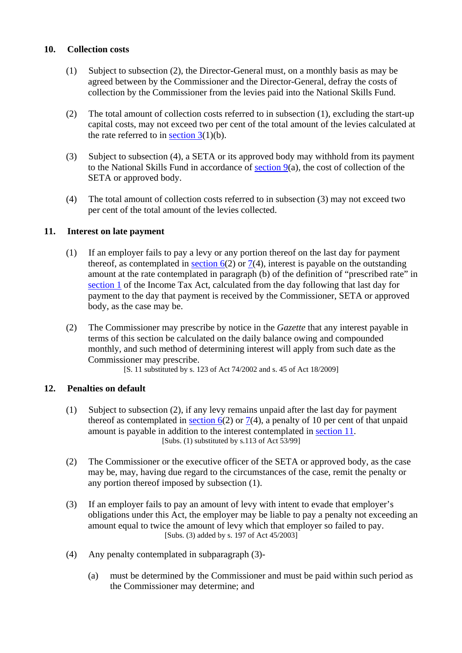# <span id="page-9-0"></span>**10. Collection costs**

- (1) Subject to subsection (2), the Director-General must, on a monthly basis as may be agreed between by the Commissioner and the Director-General, defray the costs of collection by the Commissioner from the levies paid into the National Skills Fund.
- (2) The total amount of collection costs referred to in subsection (1), excluding the start-up capital costs, may not exceed two per cent of the total amount of the levies calculated at the rate referred to in section  $3(1)(b)$ .
- (3) Subject to subsection (4), a SETA or its approved body may withhold from its payment to the National Skills Fund in accordance of [section 9\(](#page-8-0)a), the cost of collection of the SETA or approved body.
- (4) The total amount of collection costs referred to in subsection (3) may not exceed two per cent of the total amount of the levies collected.

# **11. Interest on late payment**

- (1) If an employer fails to pay a levy or any portion thereof on the last day for payment thereof, as contemplated in section  $6(2)$  or  $7(4)$ , interest is payable on the outstanding amount at the rate contemplated in paragraph (b) of the definition of "prescribed rate" in section 1 of the Income Tax Act, calculated from the day following that last day for payment to the day that payment is received by the Commissioner, SETA or approved body, as the case may be.
- (2) The Commissioner may prescribe by notice in the *Gazette* that any interest payable in terms of this section be calculated on the daily balance owing and compounded monthly, and such method of determining interest will apply from such date as the Commissioner may prescribe.

[S. 11 substituted by s. 123 of Act 74/2002 and s. 45 of Act 18/2009]

# **12. Penalties on default**

- (1) Subject to subsection (2), if any levy remains unpaid after the last day for payment thereof as contemplated in section  $6(2)$  or [7](#page-6-0)(4), a penalty of 10 per cent of that unpaid amount is payable in addition to the interest contemplated in <u>section 11</u>.<br>[Subs. (1) substituted by s.113 of Act 53/99]
- (2) The Commissioner or the executive officer of the SETA or approved body, as the case may be, may, having due regard to the circumstances of the case, remit the penalty or any portion thereof imposed by subsection (1).
- (3) If an employer fails to pay an amount of levy with intent to evade that employer's obligations under this Act, the employer may be liable to pay a penalty not exceeding an amount equal to twice the amount of levy which that employer so failed to pay. [Subs. (3) added by s. 197 of Act 45/2003]
- (4) Any penalty contemplated in subparagraph (3)-
	- (a) must be determined by the Commissioner and must be paid within such period as the Commissioner may determine; and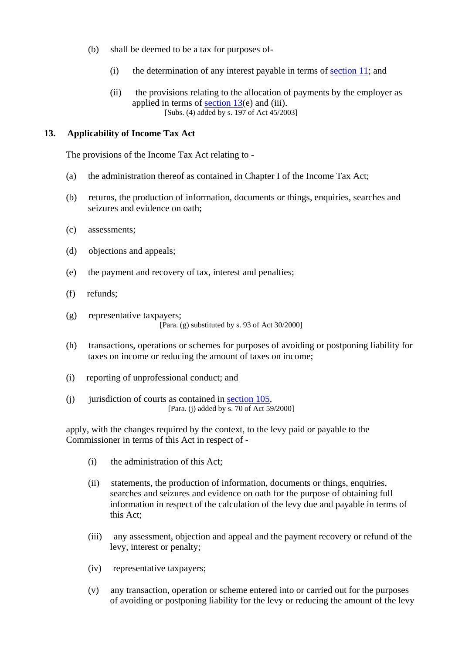- <span id="page-10-0"></span>(b) shall be deemed to be a tax for purposes of-
	- (i) the determination of any interest payable in terms of [section 11](#page-9-0); and
	- (ii) the provisions relating to the allocation of payments by the employer as applied in terms of [section 13](#page-10-0)(e) and (iii). [Subs. (4) added by s. 197 of Act 45/2003]

# **13. Applicability of Income Tax Act**

The provisions of the Income Tax Act relating to -

- (a) the administration thereof as contained in Chapter I of the Income Tax Act;
- (b) returns, the production of information, documents or things, enquiries, searches and seizures and evidence on oath;
- (c) assessments;
- (d) objections and appeals;
- (e) the payment and recovery of tax, interest and penalties;
- (f) refunds;
- (g) representative taxpayers; [Para. (g) substituted by s. 93 of Act 30/2000]
- (h) transactions, operations or schemes for purposes of avoiding or postponing liability for taxes on income or reducing the amount of taxes on income;
- (i) reporting of unprofessional conduct; and
- (j) jurisdiction of courts as contained in <u>section 105</u>, [Para. (j) added by s. 70 of Act 59/2000]

apply, with the changes required by the context, to the levy paid or payable to the Commissioner in terms of this Act in respect of -

- (i) the administration of this Act;
- (ii) statements, the production of information, documents or things, enquiries, searches and seizures and evidence on oath for the purpose of obtaining full information in respect of the calculation of the levy due and payable in terms of this Act;
- (iii) any assessment, objection and appeal and the payment recovery or refund of the levy, interest or penalty;
- (iv) representative taxpayers;
- (v) any transaction, operation or scheme entered into or carried out for the purposes of avoiding or postponing liability for the levy or reducing the amount of the levy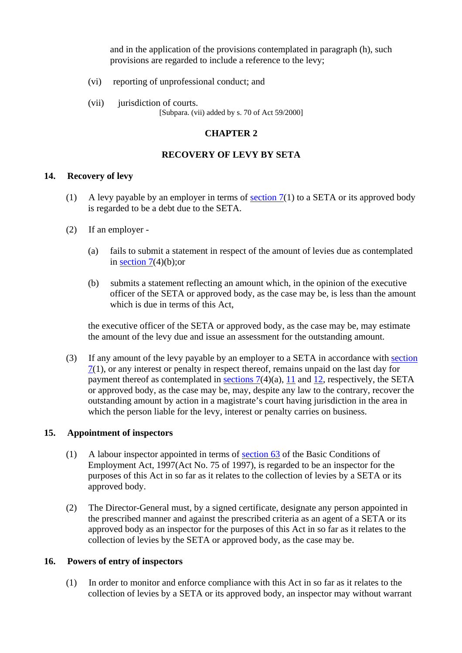and in the application of the provisions contemplated in paragraph (h), such provisions are regarded to include a reference to the levy;

- <span id="page-11-0"></span>(vi) reporting of unprofessional conduct; and
- (vii) jurisdiction of courts. [Subpara. (vii) added by s. 70 of Act 59/2000]

# **CHAPTER 2**

# **RECOVERY OF LEVY BY SETA**

# **14. Recovery of levy**

- (1) A levy payable by an employer in terms of section  $7(1)$  to a SETA or its approved body is regarded to be a debt due to the SETA.
- (2) If an employer
	- (a) fails to submit a statement in respect of the amount of levies due as contemplated in section  $7(4)(b)$ ; or
	- (b) submits a statement reflecting an amount which, in the opinion of the executive officer of the SETA or approved body, as the case may be, is less than the amount which is due in terms of this Act,

the executive officer of the SETA or approved body, as the case may be, may estimate the amount of the levy due and issue an assessment for the outstanding amount.

(3) If any amount of the levy payable by an employer to a SETA in accordance with [section](#page-6-0)   $7(1)$  $7(1)$ , or any interest or penalty in respect thereof, remains unpaid on the last day for payment thereof as contemplated in sections  $7(4)(a)$ , [11](#page-9-0) and [12,](#page-9-0) respectively, the SETA or approved body, as the case may be, may, despite any law to the contrary, recover the outstanding amount by action in a magistrate's court having jurisdiction in the area in which the person liable for the levy, interest or penalty carries on business.

# **15. Appointment of inspectors**

- (1) A labour inspector appointed in terms of section 63 of the Basic Conditions of Employment Act, 1997(Act No. 75 of 1997), is regarded to be an inspector for the purposes of this Act in so far as it relates to the collection of levies by a SETA or its approved body.
- (2) The Director-General must, by a signed certificate, designate any person appointed in the prescribed manner and against the prescribed criteria as an agent of a SETA or its approved body as an inspector for the purposes of this Act in so far as it relates to the collection of levies by the SETA or approved body, as the case may be.

### **16. Powers of entry of inspectors**

(1) In order to monitor and enforce compliance with this Act in so far as it relates to the collection of levies by a SETA or its approved body, an inspector may without warrant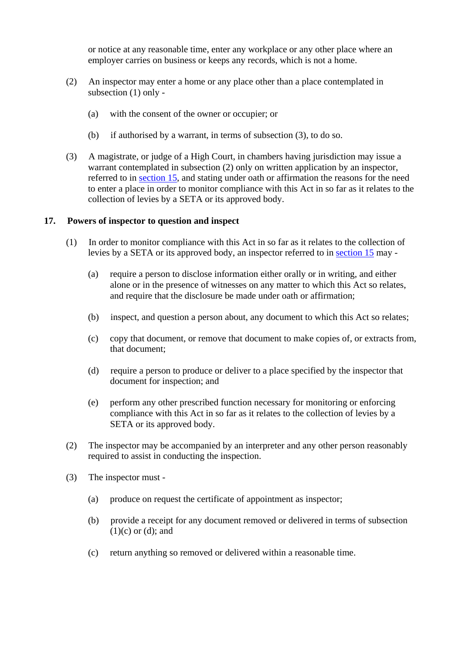<span id="page-12-0"></span>or notice at any reasonable time, enter any workplace or any other place where an employer carries on business or keeps any records, which is not a home.

- (2) An inspector may enter a home or any place other than a place contemplated in subsection (1) only -
	- (a) with the consent of the owner or occupier; or
	- (b) if authorised by a warrant, in terms of subsection (3), to do so.
- (3) A magistrate, or judge of a High Court, in chambers having jurisdiction may issue a warrant contemplated in subsection (2) only on written application by an inspector, referred to in [section 15](#page-11-0), and stating under oath or affirmation the reasons for the need to enter a place in order to monitor compliance with this Act in so far as it relates to the collection of levies by a SETA or its approved body.

### **17. Powers of inspector to question and inspect**

- (1) In order to monitor compliance with this Act in so far as it relates to the collection of levies by a SETA or its approved body, an inspector referred to in [section 15](#page-11-0) may -
	- (a) require a person to disclose information either orally or in writing, and either alone or in the presence of witnesses on any matter to which this Act so relates, and require that the disclosure be made under oath or affirmation;
	- (b) inspect, and question a person about, any document to which this Act so relates;
	- (c) copy that document, or remove that document to make copies of, or extracts from, that document;
	- (d) require a person to produce or deliver to a place specified by the inspector that document for inspection; and
	- (e) perform any other prescribed function necessary for monitoring or enforcing compliance with this Act in so far as it relates to the collection of levies by a SETA or its approved body.
- (2) The inspector may be accompanied by an interpreter and any other person reasonably required to assist in conducting the inspection.
- (3) The inspector must
	- (a) produce on request the certificate of appointment as inspector;
	- (b) provide a receipt for any document removed or delivered in terms of subsection  $(1)(c)$  or  $(d)$ ; and
	- (c) return anything so removed or delivered within a reasonable time.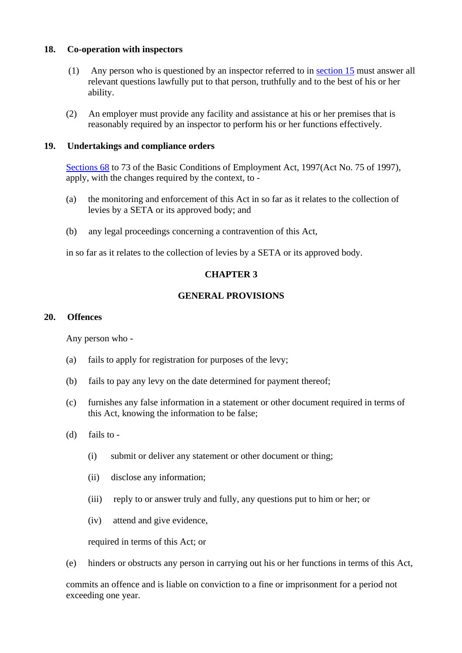### <span id="page-13-0"></span>**18. Co-operation with inspectors**

- (1) Any person who is questioned by an inspector referred to in [section 15](#page-11-0) must answer all relevant questions lawfully put to that person, truthfully and to the best of his or her ability.
- (2) An employer must provide any facility and assistance at his or her premises that is reasonably required by an inspector to perform his or her functions effectively.

### **19. Undertakings and compliance orders**

Sections 68 to 73 of the Basic Conditions of Employment Act, 1997(Act No. 75 of 1997), apply, with the changes required by the context, to -

- (a) the monitoring and enforcement of this Act in so far as it relates to the collection of levies by a SETA or its approved body; and
- (b) any legal proceedings concerning a contravention of this Act,

in so far as it relates to the collection of levies by a SETA or its approved body.

# **CHAPTER 3**

# **GENERAL PROVISIONS**

### **20. Offences**

Any person who -

- (a) fails to apply for registration for purposes of the levy;
- (b) fails to pay any levy on the date determined for payment thereof;
- (c) furnishes any false information in a statement or other document required in terms of this Act, knowing the information to be false;
- (d) fails to
	- (i) submit or deliver any statement or other document or thing;
	- (ii) disclose any information;
	- (iii) reply to or answer truly and fully, any questions put to him or her; or
	- (iv) attend and give evidence,

required in terms of this Act; or

(e) hinders or obstructs any person in carrying out his or her functions in terms of this Act,

commits an offence and is liable on conviction to a fine or imprisonment for a period not exceeding one year.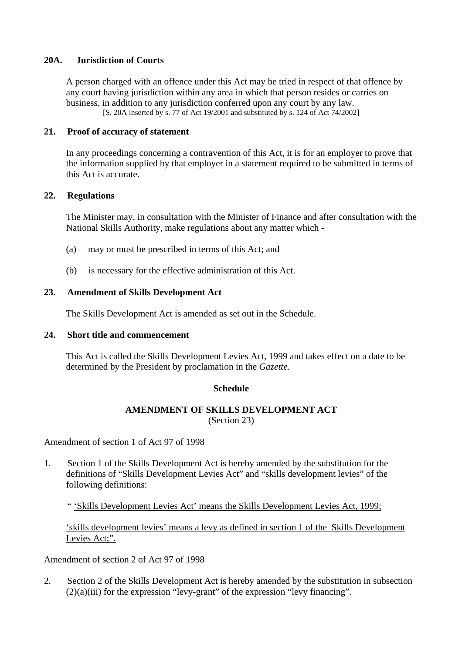# <span id="page-14-0"></span>**20A. Jurisdiction of Courts**

A person charged with an offence under this Act may be tried in respect of that offence by any court having jurisdiction within any area in which that person resides or carries on business, in addition to any jurisdiction conferred upon any court by any law. [S. 20A inserted by s. 77 of Act 19/2001 and substituted by s. 124 of Act 74/2002]

# **21. Proof of accuracy of statement**

In any proceedings concerning a contravention of this Act, it is for an employer to prove that the information supplied by that employer in a statement required to be submitted in terms of this Act is accurate.

# **22. Regulations**

The Minister may, in consultation with the Minister of Finance and after consultation with the National Skills Authority, make regulations about any matter which -

- (a) may or must be prescribed in terms of this Act; and
- (b) is necessary for the effective administration of this Act.

### **23. Amendment of Skills Development Act**

The Skills Development Act is amended as set out in the Schedule.

### **24. Short title and commencement**

This Act is called the Skills Development Levies Act, 1999 and takes effect on a date to be determined by the President by proclamation in the *Gazette*.

### **Schedule**

# **AMENDMENT OF SKILLS DEVELOPMENT ACT**  (Section 23)

Amendment of section 1 of Act 97 of 1998

1. Section 1 of the Skills Development Act is hereby amended by the substitution for the definitions of "Skills Development Levies Act" and "skills development levies" of the following definitions:

" 'Skills Development Levies Act' means the Skills Development Levies Act, 1999;

'skills development levies' means a levy as defined in section 1 of the Skills Development Levies Act;".

Amendment of section 2 of Act 97 of 1998

2. Section 2 of the Skills Development Act is hereby amended by the substitution in subsection  $(2)(a)(iii)$  for the expression "levy-grant" of the expression "levy financing".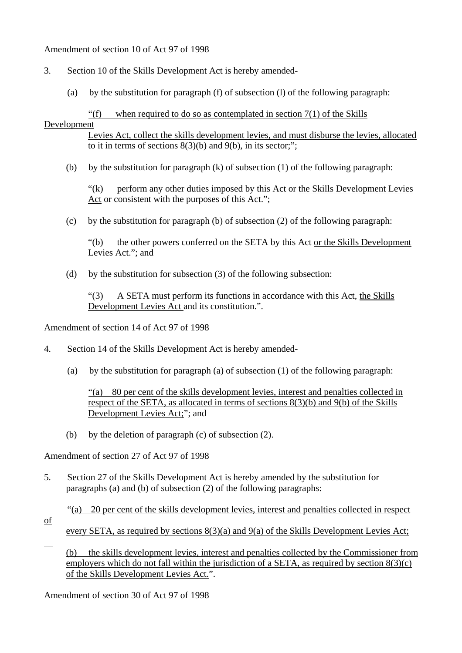# Amendment of section 10 of Act 97 of 1998

- 3. Section 10 of the Skills Development Act is hereby amended-
	- (a) by the substitution for paragraph (f) of subsection (l) of the following paragraph:

"(f) when required to do so as contemplated in section  $7(1)$  of the Skills

# Development

Levies Act, collect the skills development levies, and must disburse the levies, allocated to it in terms of sections  $8(3)(b)$  and  $9(b)$ , in its sector;";

(b) by the substitution for paragraph  $(k)$  of subsection  $(1)$  of the following paragraph:

"(k) perform any other duties imposed by this Act or the Skills Development Levies Act or consistent with the purposes of this Act.";

(c) by the substitution for paragraph (b) of subsection (2) of the following paragraph:

"(b) the other powers conferred on the SETA by this Act or the Skills Development Levies Act."; and

(d) by the substitution for subsection (3) of the following subsection:

"(3) A SETA must perform its functions in accordance with this Act, the Skills Development Levies Act and its constitution.".

Amendment of section 14 of Act 97 of 1998

- 4. Section 14 of the Skills Development Act is hereby amended-
	- (a) by the substitution for paragraph (a) of subsection (1) of the following paragraph:

 "(a) 80 per cent of the skills development levies, interest and penalties collected in respect of the SETA, as allocated in terms of sections 8(3)(b) and 9(b) of the Skills Development Levies Act;"; and

(b) by the deletion of paragraph (c) of subsection (2).

Amendment of section 27 of Act 97 of 1998

5. Section 27 of the Skills Development Act is hereby amended by the substitution for paragraphs (a) and (b) of subsection (2) of the following paragraphs:

"(a) 20 per cent of the skills development levies, interest and penalties collected in respect

of

 $\overline{a}$ 

every SETA, as required by sections 8(3)(a) and 9(a) of the Skills Development Levies Act;

(b) the skills development levies, interest and penalties collected by the Commissioner from employers which do not fall within the jurisdiction of a SETA, as required by section  $8(3)(c)$ of the Skills Development Levies Act.".

Amendment of section 30 of Act 97 of 1998